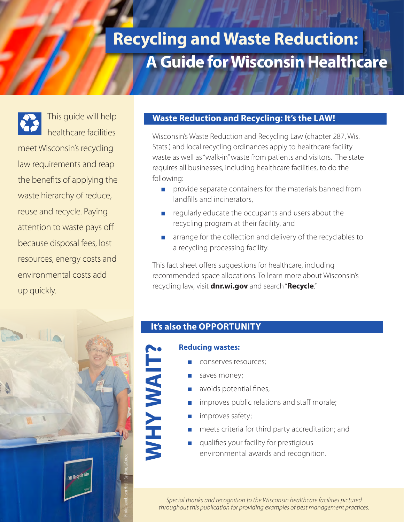# **A Guide for Wisconsin Healthcare Recycling and Waste Reduction:**

This guide will help

healthcare facilities meet Wisconsin's recycling law requirements and reap the benefits of applying the waste hierarchy of reduce, reuse and recycle. Paying attention to waste pays off because disposal fees, lost resources, energy costs and environmental costs add up quickly.

#### **Waste Reduction and Recycling: It's the LAW!**

Wisconsin's Waste Reduction and Recycling Law (chapter 287, Wis. Stats.) and local recycling ordinances apply to healthcare facility waste as well as "walk-in" waste from patients and visitors. The state requires all businesses, including healthcare facilities, to do the following:

- provide separate containers for the materials banned from landfills and incinerators,
- regularly educate the occupants and users about the recycling program at their facility, and
- arrange for the collection and delivery of the recyclables to a recycling processing facility.

This fact sheet offers suggestions for healthcare, including recommended space allocations. To learn more about Wisconsin's recycling law, visit **[dnr.wi.gov](http://dnr.wi.gov/)** and search "**Recycle**."



#### **It's also the OPPORTUNITY**

#### **Reducing wastes:**

**WHY WAIT?**

**NHYWAIT** 

- conserves resources;
- saves money;
- avoids potential fines;
- improves public relations and staff morale;
- improves safety;
- meets criteria for third party accreditation; and
- qualifies your facility for prestigious environmental awards and recognition.

*Special thanks and recognition to the Wisconsin healthcare facilities pictured throughout this publication for providing examples of best management practices.*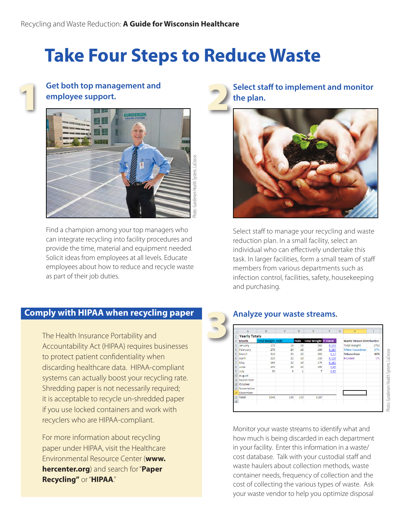# **Take Four Steps to Reduce Waste**



# **employee support.**



Find a champion among your top managers who can integrate recycling into facility procedures and provide the time, material and equipment needed. Solicit ideas from employees at all levels. Educate employees about how to reduce and recycle waste as part of their job duties.

**Select staff to implement and monitor the plan.**



Select staff to manage your recycling and waste reduction plan. In a small facility, select an individual who can effectively undertake this task. In larger facilities, form a small team of staff members from various departments such as infection control, facilities, safety, housekeeping and purchasing.

#### **Comply with HIPAA when recycling paper**

The Health Insurance Portability and Accountability Act (HIPAA) requires businesses to protect patient confidentiality when discarding healthcare data. HIPAA-compliant systems can actually boost your recycling rate. Shredding paper is not necessarily required; it is acceptable to recycle un-shredded paper if you use locked containers and work with recyclers who are HIPAA-compliant.

For more information about recycling paper under HIPAA, visit the Healthcare Environmental Resource Center (**[www.](http://www.hercenter.org/) [hercenter.org](http://www.hercenter.org/)**) and search for "**Paper Recycling"** or "**HIPAA**."

#### **Analyze your waste streams.**

|    | A                    | B                         | $\mathbb{C}$ | D            | E                            | F     | G | Ħ                                |      |
|----|----------------------|---------------------------|--------------|--------------|------------------------------|-------|---|----------------------------------|------|
|    | <b>Yearly Totals</b> |                           |              |              |                              |       |   |                                  |      |
| 2  | <b>Month</b>         | <b>Total Weight Pulls</b> |              | <b>Pulls</b> | <b>Total Weight P-listed</b> |       |   | <b>Waste Stream Distribution</b> |      |
| 3  | January              | 173                       | 16           | 28           | 265                          | 0.143 |   | <b>Total Weight</b>              | 2735 |
| 4  | February             | 270                       | 24           | 18           | 190                          | 0.164 |   | <b>%Non Hazardous</b>            | 57%  |
| 5  | March                | 310                       | 25           | 20           | 205                          | 0.17  |   | %Hazardous                       | 43%  |
| 6  | April                | 225                       | 22           | 14           | 150                          | 0.128 |   | P-Listed                         | 0%   |
| 7  | May                  | 265                       | 22           | 18           | 175                          | 0.162 |   |                                  |      |
| 8  | June                 | 255                       | 24           | 20           | 195                          | 0.65  |   |                                  |      |
| 9  | July                 | 50                        | 6            | 1            | 7                            | 0.05  |   |                                  |      |
|    | 10 August            |                           |              |              |                              |       |   |                                  |      |
|    | 11 September         |                           |              |              |                              |       |   |                                  |      |
|    | 12 October           |                           |              |              |                              |       |   |                                  |      |
|    | 13 Novemeber         |                           |              |              |                              |       |   |                                  |      |
|    | 14 December          |                           |              |              |                              |       |   |                                  |      |
|    | 15 Total             | 1548                      | 139          | 119          | 1187                         |       |   |                                  |      |
| 16 |                      |                           |              |              |                              |       |   |                                  |      |

Photo: Gundersen Health System, LaCrosse

Photo: Gundersen Health System, LaCrosse

Monitor your waste streams to identify what and how much is being discarded in each department in your facility. Enter this information in a waste/ cost database. Talk with your custodial staff and waste haulers about collection methods, waste container needs, frequency of collection and the cost of collecting the various types of waste. Ask your waste vendor to help you optimize disposal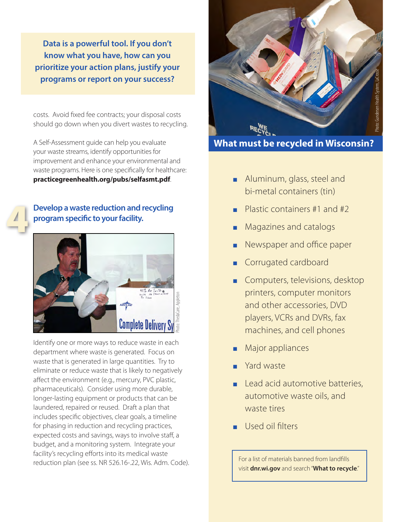**Data is a powerful tool. If you don't know what you have, how can you prioritize your action plans, justify your programs or report on your success?**

costs. Avoid fixed fee contracts; your disposal costs should go down when you divert wastes to recycling.

A Self-Assessment guide can help you evaluate your waste streams, identify opportunities for improvement and enhance your environmental and waste programs. Here is one specifically for healthcare: **[practicegreenhealth.org/pubs/selfasmt.pdf](https://practicegreenhealth.org/pubs/selfasmt.pdf)**.

# 4

#### **Develop a waste reduction and recycling program specific to your facility.**



Identify one or more ways to reduce waste in each department where waste is generated. Focus on waste that is generated in large quantities. Try to eliminate or reduce waste that is likely to negatively affect the environment (e.g., mercury, PVC plastic, pharmaceuticals). Consider using more durable, longer-lasting equipment or products that can be laundered, repaired or reused. Draft a plan that includes specific objectives, clear goals, a timeline for phasing in reduction and recycling practices, expected costs and savings, ways to involve staff, a budget, and a monitoring system. Integrate your facility's recycling efforts into its medical waste reduction plan (see [ss. NR 526.16-.22, Wis. Adm. Code](http://docs.legis.wisconsin.gov/code/admin_code/nr/500/526.pdf)).



**What must be recycled in Wisconsin?**

- Aluminum, glass, steel and bi-metal containers (tin)
- Plastic containers  $#1$  and  $#2$
- Magazines and catalogs
- Newspaper and office paper
- **Corrugated cardboard**
- Computers, televisions, desktop printers, computer monitors and other accessories, DVD players, VCRs and DVRs, fax machines, and cell phones
- Major appliances
- Yard waste
- Lead acid automotive batteries, automotive waste oils, and waste tires
- Used oil filters

For a list of materials banned from landfills visit **dnr.wi.gov** and search "**What to recycle**."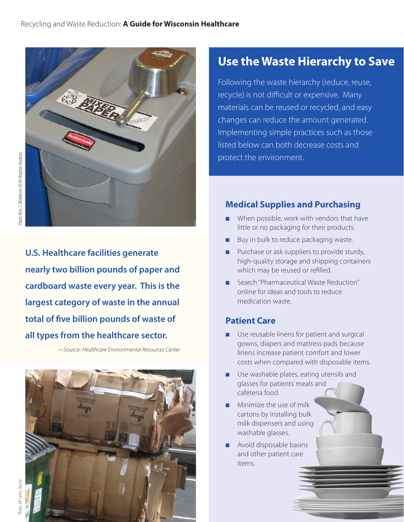

**U.S. Healthcare facilities generate nearly two billion pounds of paper and cardboard waste every year. This is the largest category of waste in the annual total of five billion pounds of waste of all types from the healthcare sector.**

—Source: *Healthcare Environmental Resources Center*



## **Use the Waste Hierarchy to Save**

Following the waste hierarchy (reduce, reuse, recycle) is not difficult or expensive. Many materials can be reused or recycled, and easy changes can reduce the amount generated. Implementing simple practices such as those listed below can both decrease costs and protect the environment.

## **Medical Supplies and Purchasing**

- When possible, work with vendors that have little or no packaging for their products.
- Buy in bulk to reduce packaging waste.
- Purchase or ask suppliers to provide sturdy, high-quality storage and shipping containers which may be reused or refilled.
- Search "Pharmaceutical Waste Reduction" online for ideas and tools to reduce medication waste.

## **Patient Care**

- Use reusable linens for patient and surgical gowns, diapers and mattress pads because linens increase patient comfort and lower costs when compared with disposable items.
- Use washable plates, eating utensils and glasses for patients' meals and cafeteria food.
- Minimize the use of milk cartons by installing bulk milk dispensers and using washable glasses.
- Avoid disposable basins and other patient care items.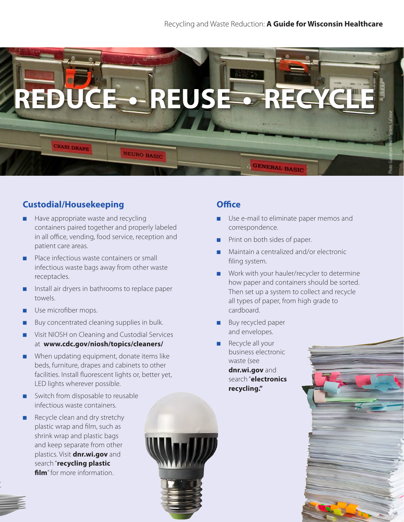

## **Custodial/Housekeeping**

- Have appropriate waste and recycling containers paired together and properly labeled in all office, vending, food service, reception and patient care areas.
- Place infectious waste containers or small infectious waste bags away from other waste receptacles.
- Install air dryers in bathrooms to replace paper towels.
- Use microfiber mops.
- Buy concentrated cleaning supplies in bulk.
- Visit NIOSH on Cleaning and Custodial Services at **[www.cdc.gov/niosh/topics/cleaners/](http://www.cdc.gov/niosh/topics/cleaners/)**
- When updating equipment, donate items like beds, furniture, drapes and cabinets to other facilities. Install fluorescent lights or, better yet, LED lights wherever possible.
- Switch from disposable to reusable infectious waste containers.
- Recycle clean and dry stretchy plastic wrap and film, such as shrink wrap and plastic bags and keep separate from other plastics. Visit **[dnr.wi.gov](http://dnr.wi.gov/)** and search "**recycling plastic film**" for more information.

## **Office**

- Use e-mail to eliminate paper memos and correspondence.
- Print on both sides of paper.
- Maintain a centralized and/or electronic filing system.
- Work with your hauler/recycler to determine how paper and containers should be sorted. Then set up a system to collect and recycle all types of paper, from high grade to cardboard.
- Buy recycled paper and envelopes.
- Recycle all your business electronic waste (see **[dnr.wi.gov](http://dnr.wi.gov/topic/Ecycle/Business.html)** and search "**electronics recycling."**

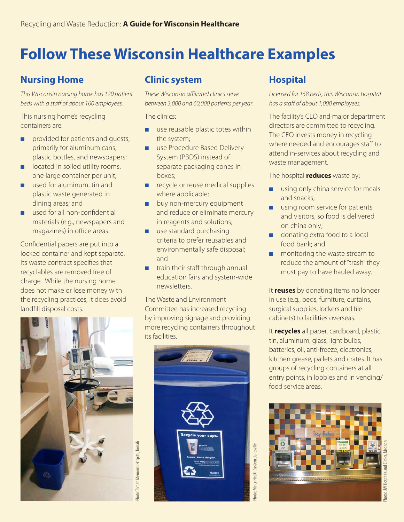# **Follow These Wisconsin Healthcare Examples**

## **Nursing Home**

*This Wisconsin nursing home has 120 patient beds with a staff of about 160 employees.*

This nursing home's recycling containers are:

- provided for patients and quests, primarily for aluminum cans, plastic bottles, and newspapers;
- located in soiled utility rooms, one large container per unit;
- used for aluminum, tin and plastic waste generated in dining areas; and
- used for all non-confidential materials (e.g., newspapers and magazines) in office areas.

Confidential papers are put into a locked container and kept separate. Its waste contract specifies that recyclables are removed free of charge. While the nursing home does not make or lose money with the recycling practices, it does avoid landfill disposal costs.



## **Clinic system**

*These Wisconsin affiliated clinics serve between 3,000 and 60,000 patients per year*.

The clinics:

- use reusable plastic totes within the system;
- use Procedure Based Delivery System (PBDS) instead of separate packaging cones in boxes;
- recycle or reuse medical supplies where applicable;
- buy non-mercury equipment and reduce or eliminate mercury in reagents and solutions;
- use standard purchasing criteria to prefer reusables and environmentally safe disposal; and
- train their staff through annual education fairs and system-wide newsletters.

The Waste and Environment Committee has increased recycling by improving signage and providing more recycling containers throughout its facilities.



## **Hospital**

*Licensed for 158 beds, this Wisconsin hospital has a staff of about 1,000 employees.*

The facility's CEO and major department directors are committed to recycling. The CEO invests money in recycling where needed and encourages staff to attend in-services about recycling and waste management.

The hospital **reduces** waste by:

- using only china service for meals and snacks;
- using room service for patients and visitors, so food is delivered on china only;
- donating extra food to a local food bank; and
- monitoring the waste stream to reduce the amount of "trash" they must pay to have hauled away.

It **reuses** by donating items no longer in use (e.g., beds, furniture, curtains, surgical supplies, lockers and file cabinets) to facilities overseas.

It **recycles** all paper, cardboard, plastic, tin, aluminum, glass, light bulbs, batteries, oil, anti-freeze, electronics, kitchen grease, pallets and crates. It has groups of recycling containers at all entry points, in lobbies and in vending/ food service areas.

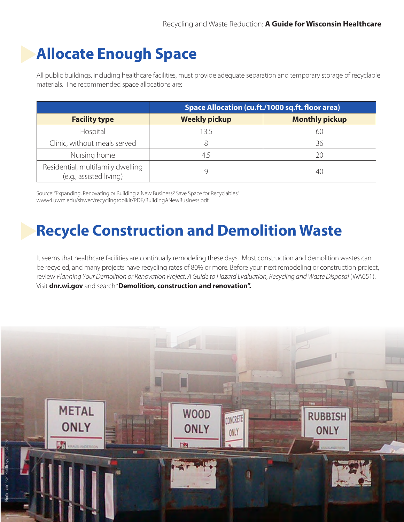# **Allocate Enough Space**

All public buildings, including healthcare facilities, must provide adequate separation and temporary storage of recyclable materials. The recommended space allocations are:

|                                                              | Space Allocation (cu.ft./1000 sq.ft. floor area) |                       |  |  |  |
|--------------------------------------------------------------|--------------------------------------------------|-----------------------|--|--|--|
| <b>Facility type</b>                                         | <b>Weekly pickup</b>                             | <b>Monthly pickup</b> |  |  |  |
| Hospital                                                     | 13.5                                             | 60                    |  |  |  |
| Clinic, without meals served                                 |                                                  | 36                    |  |  |  |
| Nursing home                                                 | 4.5                                              | 20                    |  |  |  |
| Residential, multifamily dwelling<br>(e.g., assisted living) |                                                  | 40                    |  |  |  |

Source: "Expanding, Renovating or Building a New Business? Save Space for Recyclables" [www4.uwm.edu/shwec/recyclingtoolkit/PDF/BuildingANewBusiness.pdf](http://www4.uwm.edu/shwec/recyclingtoolkit/PDF/BuildingANewBusiness.pdf)

# **Recycle Construction and Demolition Waste**

It seems that healthcare facilities are continually remodeling these days. Most construction and demolition wastes can be recycled, and many projects have recycling rates of 80% or more. Before your next remodeling or construction project, review *Planning Your Demolition or Renovation Project: A Guide to Hazard Evaluation, Recycling and Waste Disposal* (WA651). Visit **[dnr.wi.gov](http://dnr.wi.gov/)** and search "**Demolition, construction and renovation".**